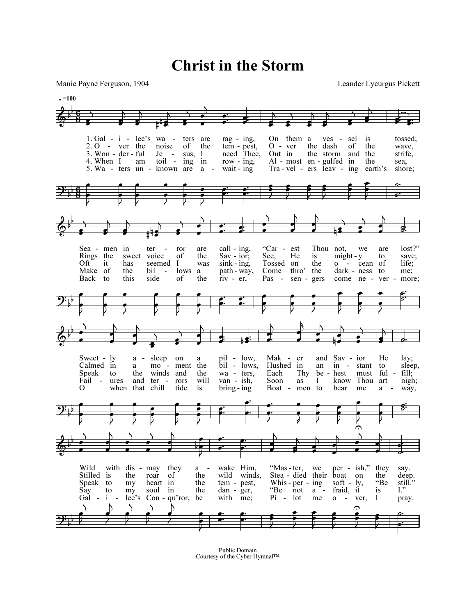Christ in the Storm

Manie Payne Ferguson, 1904 Leander Lycurgus Pickett



Public Domain Courtesy of the Cyber Hymnal™